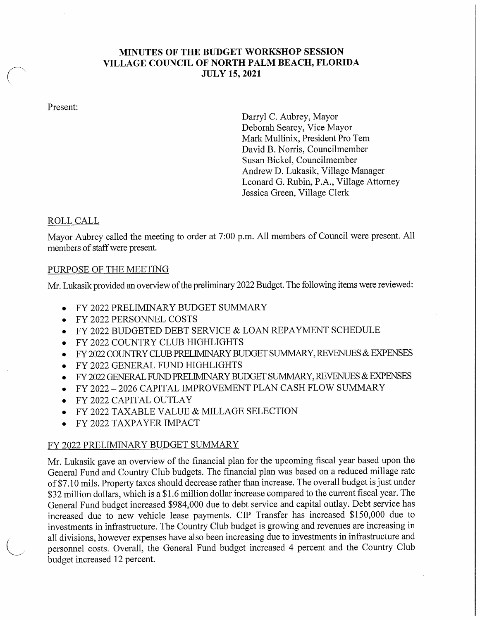## MINUTES OF THE BUDGET WORKSHOP SESSION VILLAGE COUNCIL OF NORTH PALM BEACH, FLORIDA **JULY 15, 2021**

Present:

Darryl C. Aubrey, Mayor Deborah Searcy, Vice Mayor Mark Mullinix, President Pro Tem David B. Norris, Councilmember Susan Bickel, Councilmember Andrew D. Lukasik, Village Manager Leonard G. Rubin, P.A., Village Attorney Jessica Green, Village Clerk

## ROLL CALL

Mayor Aubrey called the meeting to order at 7:00 p.m. All members of Council were present. All members of staff were present.

#### PURPOSE OF THE MEETING

Mr. Lukasik provided an overview of the preliminary 2022 Budget. The following items were reviewed:

- FY 2022 PRELIMINARY BUDGET SUMMARY
- FY 2022 PERSONNEL COSTS
- FY 2022 BUDGETED DEBT SERVICE & LOAN REPAYMENT SCHEDULE
- FY 2022 COUNTRY CLUB HIGHLIGHTS  $\bullet$
- FY 2022 COUNTRY CLUB PRELIMINARY BUDGET SUMMARY, REVENUES & EXPENSES  $\bullet$
- FY 2022 GENERAL FUND HIGHLIGHTS  $\bullet$
- FY 2022 GENERAL FUND PRELIMINARY BUDGET SUMMARY, REVENUES & EXPENSES  $\bullet$
- FY 2022 2026 CAPITAL IMPROVEMENT PLAN CASH FLOW SUMMARY
- FY 2022 CAPITAL OUTLAY  $\bullet$
- FY 2022 TAXABLE VALUE & MILLAGE SELECTION  $\bullet$
- FY 2022 TAXPAYER IMPACT

## FY 2022 PRELIMINARY BUDGET SUMMARY

Mr. Lukasik gave an overview of the financial plan for the upcoming fiscal year based upon the General Fund and Country Club budgets. The financial plan was based on a reduced millage rate of \$7. <sup>10</sup> mils. Property taxes should decrease rather than increase. The overall budget is just under \$32 million dollars, which is a \$1.6 million dollar increase compared to the current fiscal year. The General Fund budget increased \$984, 000 due to debt service and capital outlay. Debt service has increased due to new vehicle lease payments. CIP Transfer has increased \$150,000 due to investments in infrastructure. The Country Club budget is growing and revenues are increasing in all divisions, however expenses have also been increasing due to investments in infrastructure and personnel costs. Overall, the General Fund budget increased 4 percent and the Country Club budget increased 12 percent.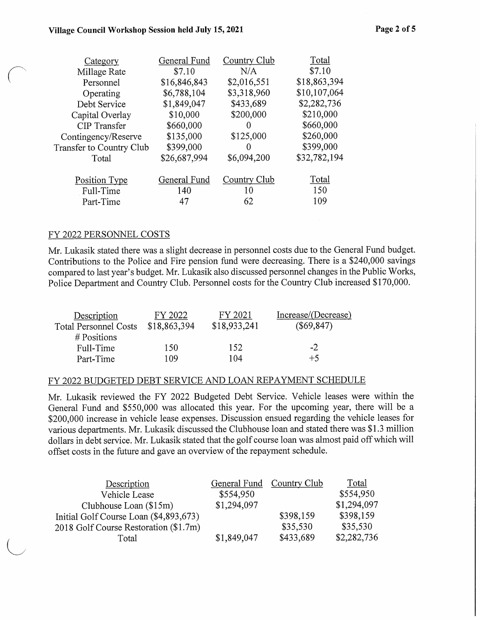| Category                 | General Fund | Country Club | Total        |
|--------------------------|--------------|--------------|--------------|
| Millage Rate             | \$7.10       | N/A          | \$7.10       |
| Personnel                | \$16,846,843 | \$2,016,551  | \$18,863,394 |
| Operating                | \$6,788,104  | \$3,318,960  | \$10,107,064 |
| Debt Service             | \$1,849,047  | \$433,689    | \$2,282,736  |
| Capital Overlay          | \$10,000     | \$200,000    | \$210,000    |
| <b>CIP</b> Transfer      | \$660,000    | 0            | \$660,000    |
| Contingency/Reserve      | \$135,000    | \$125,000    | \$260,000    |
| Transfer to Country Club | \$399,000    | 0            | \$399,000    |
| Total                    | \$26,687,994 | \$6,094,200  | \$32,782,194 |
| Position Type            | General Fund | Country Club | Total        |
| Full-Time                | 140          | 10           | 150          |
| Part-Time                | 47           | 62           | 109          |

### FY 2022 PERSONNEL COSTS

Mr. Lukasik stated there was a slight decrease in personnel costs due to the General Fund budget. Contributions to the Police and Fire pension fund were decreasing. There is a \$240,000 savings compared to last year' <sup>s</sup> budget. Mr. Lukasik also discussed personnel changes in the Public Works, Police Department and Country Club. Personnel costs for the Country Club increased \$170,000.

| Description                  | FY 2022      | FY 2021      | Increase/(Decrease) |
|------------------------------|--------------|--------------|---------------------|
| <b>Total Personnel Costs</b> | \$18,863,394 | \$18,933,241 | $(\$69,847)$        |
| $#$ Positions                |              |              |                     |
| Full-Time                    | 150          | 152          | $-2$                |
| Part-Time                    | 109          | 104          | $+5$                |

#### FY 2022 BUDGETED DEBT SERVICE AND LOAN REPAYMENT SCHEDULE

Mr. Lukasik reviewed the FY 2022 Budgeted Debt Service. Vehicle leases were within the General Fund and \$550,000 was allocated this year. For the upcoming year, there will be a 200, 000 increase in vehicle lease expenses. Discussion ensued regarding the vehicle leases for various departments. Mr. Lukasik discussed the Clubhouse loan and stated there was \$ 1. <sup>3</sup> million dollars in debt service. Mr. Lukasik stated that the golf course loan was almost paid off which will offset costs in the future and gave an overview of the repayment schedule.

| Description                            |             | General Fund Country Club | Total       |
|----------------------------------------|-------------|---------------------------|-------------|
| Vehicle Lease                          | \$554,950   |                           | \$554,950   |
| Clubhouse Loan $(\$15m)$               | \$1,294,097 |                           | \$1,294,097 |
| Initial Golf Course Loan (\$4,893,673) |             | \$398,159                 | \$398,159   |
| 2018 Golf Course Restoration (\$1.7m)  |             | \$35,530                  | \$35,530    |
| Total                                  | \$1,849,047 | \$433,689                 | \$2,282,736 |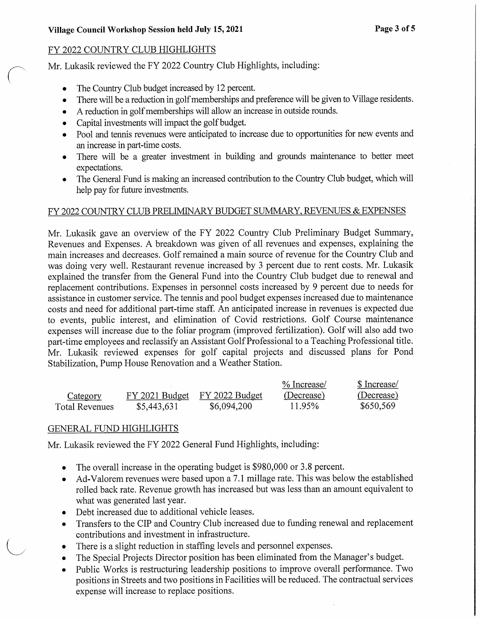# FY 2022 COUNTRY CLUB HIGHLIGHTS

Mr. Lukasik reviewed the FY 2022 Country Club Highlights, including:

- The Country Club budget increased by 12 percent.  $\bullet$
- There will be a reduction in golf memberships and preference will be given to Village residents.  $\bullet$
- A reduction in golf memberships will allow an increase in outside rounds.
- Capital investments will impact the golf budget.  $\bullet$
- Pool and tennis revenues were anticipated to increase due to opportunities for new events and an increase in part-time costs.
- There will be a greater investment in building and grounds maintenance to better meet expectations.
- The General Fund is making an increased contribution to the Country Club budget, which will  $\bullet$ help pay for future investments.

## FY 2022 COUNTRY CLUB PRELIMINARY BUDGET SUMMARY, REVENUES & EXPENSES

Mr. Lukasik gave an overview of the FY 2022 Country Club Preliminary Budget Summary, Revenues and Expenses. A breakdown was given of all revenues and expenses, explaining the main increases and decreases. Golf remained a main source of revenue for the Country Club and was doing very well. Restaurant revenue increased by <sup>3</sup> percent due to rent costs. Mr. Lukasik explained the transfer from the General Fund into the Country Club budget due to renewal and replacement contributions. Expenses in personnel costs increased by 9 percent due to needs for assistance in customer service. The tennis and pool budget expenses increased due to maintenance costs and need for additional part- time staff. An anticipated increase in revenues is expected due to events, public interest, and elimination of Covid restrictions. Golf Course maintenance expenses will increase due to the foliar program (improved fertilization). Golf will also add two part-time employees and reclassify an Assistant GolfProfessional to a Teaching Professional title. Mr. Lukasik reviewed expenses for golf capital projects and discussed plans for Pond Stabilization, Pump House Renovation and a Weather Station.

|                |                               |             | % Increase/ | \$ Increase/ |
|----------------|-------------------------------|-------------|-------------|--------------|
| Category       | FY 2021 Budget FY 2022 Budget |             | (Decrease)  | (Decrease)   |
| Total Revenues | \$5,443,631                   | \$6,094,200 | 11.95%      | \$650,569    |

# GENERAL FUND HIGHLIGHTS

Mr. Lukasik reviewed the FY 2022 General Fund Highlights, including:

- The overall increase in the operating budget is \$980,000 or 3.8 percent.  $\bullet$
- Ad-Valorem revenues were based upon a 7.1 millage rate. This was below the established  $\bullet$ rolled back rate. Revenue growth has increased but was less than an amount equivalent to what was generated last year.
- Debt increased due to additional vehicle leases.  $\bullet$
- Transfers to the CIP and Country Club increased due to funding renewal and replacement  $\bullet$ contributions and investment in infrastructure.
- There is a slight reduction in staffing levels and personnel expenses.
- The Special Projects Director position has been eliminated from the Manager's budget.
- Public Works is restructuring leadership positions to improve overall performance. Two  $\bullet$ positions in Streets and two positions in Facilities will be reduced. The contractual services expense will increase to replace positions.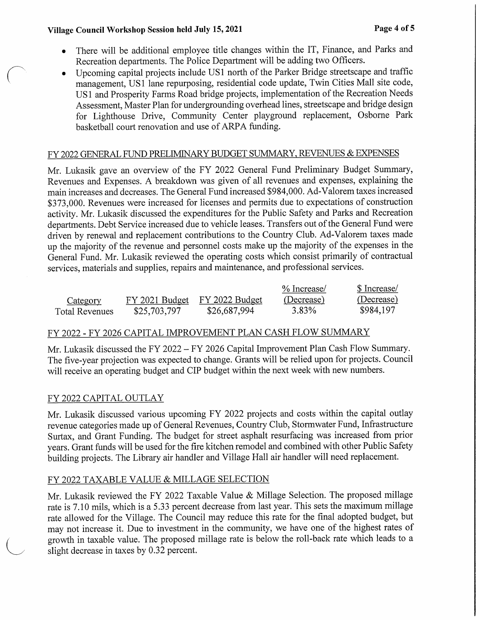- There will be additional employee title changes within the IT, Finance, and Parks and Recreation departments. The Police Department will be adding two Officers.
- Upcoming capital projects include US1 north of the Parker Bridge streetscape and traffic management, US1 lane repurposing, residential code update, Twin Cities Mall site code, US <sup>1</sup> and Prosperity Farms Road bridge projects, implementation of the Recreation Needs Assessment, Master Plan for undergrounding overhead lines, streetscape and bridge design for Lighthouse Drive, Community Center playground replacement, Osborne Park basketball court renovation and use of ARPA funding.

# FY 2022 GENERAL FUND PRELIMINARY BUDGET SUMMARY, REVENUES & EXPENSES

Mr. Lukasik gave an overview of the FY 2022 General Fund Preliminary Budget Summary, Revenues and Expenses. A breakdown was given of all revenues and expenses, explaining the main increases and decreases. The General Fund increased \$984,000. Ad-Valorem taxes increased 373, 000. Revenues were increased for licenses and permits due to expectations of construction activity. Mr. Lukasik discussed the expenditures for the Public Safety and Parks and Recreation departments. Debt Service increased due to vehicle leases. Transfers out of the General Fund were driven by renewal and replacement contributions to the Country Club. Ad-Valorem taxes made up the majority of the revenue and personnel costs make up the majority of the expenses in the General Fund. Mr. Lukasik reviewed the operating costs which consist primarily of contractual services, materials and supplies, repairs and maintenance, and professional services.

|                |                |                | % Increase/ | \$ Increase/ |
|----------------|----------------|----------------|-------------|--------------|
| Category       | FY 2021 Budget | FY 2022 Budget | (Decrease)  | (Decrease)   |
| Total Revenues | \$25,703,797   | \$26,687,994   | 3.83%       | \$984,197    |

# FY 2022 - FY 2026 CAPITAL IMPROVEMENT PLAN CASH FLOW SUMMARY

Mr. Lukasik discussed the FY 2022 — FY 2026 Capital Improvement Plan Cash Flow Summary. The five-year projection was expected to change. Grants will be relied upon for projects. Council will receive an operating budget and CIP budget within the next week with new numbers.

## FY 2022 CAPITAL OUTLAY

Mr. Lukasik discussed various upcoming FY 2022 projects and costs within the capital outlay revenue categories made up of General Revenues, Country Club, Stormwater Fund, Infrastructure Surtax, and Grant Funding. The budget for street asphalt resurfacing was increased from prior years. Grant funds will be used for the fire kitchen remodel and combined with other Public Safety building projects. The Library air handler and Village Hall air handler will need replacement.

# FY 2022 TAXABLE VALUE & MILLAGE SELECTION

Mr. Lukasik reviewed the FY 2022 Taxable Value & Millage Selection. The proposed millage rate is 7. 10 mils, which is a 5. 33 percent decrease from last year. This sets the maximum millage rate allowed for the Village. The Council may reduce this rate for the final adopted budget, but may not increase it. Due to investment in the community, we have one of the highest rates of growth in taxable value. The proposed millage rate is below the roll -back rate which leads to a slight decrease in taxes by 0.32 percent.